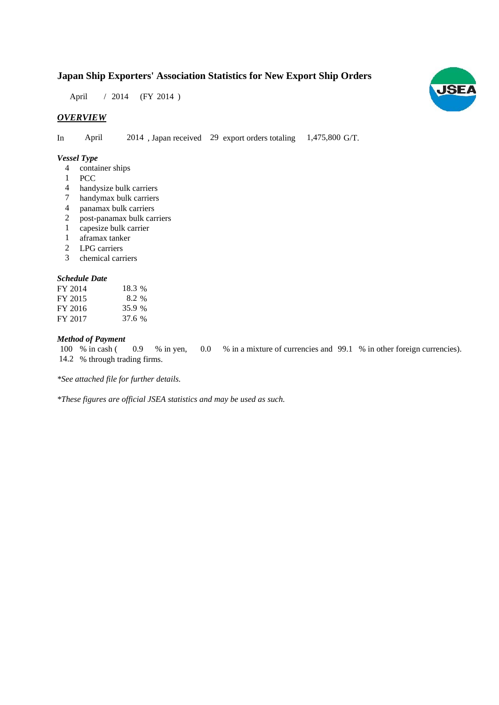# **Japan Ship Exporters' Association Statistics for New Export Ship Orders**

April / 2014 (FY 2014)

## *OVERVIEW*

In April 2014, Japan received 29 export orders totaling 1,475,800 G/T.

#### *Vessel Type*

- container ships 4
- 1 PCC
- handysize bulk carriers 4
- handymax bulk carriers 7
- panamax bulk carriers 4
- post-panamax bulk carriers 2
- capesize bulk carrier 1
- aframax tanker 1
- LPG carriers 2
- chemical carriers 3

#### *Schedule Date*

| FY 2014 | 18.3 % |
|---------|--------|
| FY 2015 | 8.2 %  |
| FY 2016 | 35.9 % |
| FY 2017 | 37.6 % |

#### *Method of Payment*

% in cash ( $\qquad 0.9 \qquad$  % in yen,  $\qquad 0.0 \qquad$  % in a mixture of currencies and 99.1 % in other foreign currencies). 14.2 % through trading firms. 0.9 % in yen, 100 % in cash (

*\*See attached file for further details.*

*\*These figures are official JSEA statistics and may be used as such.*

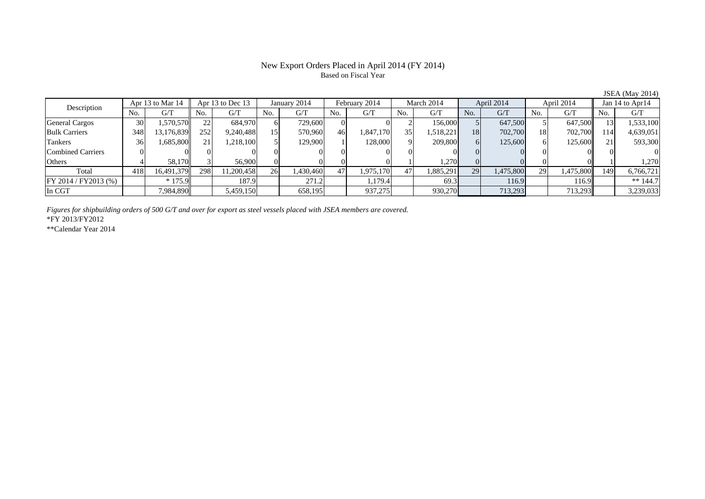## New Export Orders Placed in April 2014 (FY 2014) Based on Fiscal Year

| Description           |     | Apr 13 to Mar 14 |     | Apr 13 to Dec 13 |     | January 2014 |     | February 2014 |     | March 2014 |     | April 2014 |     | April 2014 |     | Jan 14 to Apr14 |
|-----------------------|-----|------------------|-----|------------------|-----|--------------|-----|---------------|-----|------------|-----|------------|-----|------------|-----|-----------------|
|                       | No. | G/T              | No. | G/T              | No. | G/T          | No. | G/T           | No. | G/T        | No. | G/T        | No. | G/T        | No. | G/T             |
| <b>General Cargos</b> | 30  | .570.570         | 22  | 684,970          |     | 729,600      |     |               |     | 156,000    |     | 647,500    |     | 647,500    |     | 1,533,100       |
| <b>Bulk Carriers</b>  | 348 | 13,176,839       | 252 | 9,240,488        | 15. | 570.960      | 46  | 1,847,170     | 35  | 1,518,221  | 18  | 702,700    | 18  | 702,700    | 114 | 4,639,051       |
| Tankers               | 36  | 1,685,800        | 21  | 1,218,100        |     | 129,900      |     | 128,000       |     | 209,800    |     | 125,600    |     | 125,600    |     | 593,300         |
| Combined Carriers     |     |                  |     |                  |     |              |     |               |     |            |     |            |     |            |     |                 |
| Others                |     | 58.170           |     | 56,900           |     |              |     |               |     | 1,270      |     |            |     |            |     | 1.270           |
| Total                 | 418 | 16,491,379       | 298 | 11,200,458       | 26  | 1,430,460    | 47  | .975,170      | 47  | 1,885,291  | 29  | 1,475,800  | 29  | 1,475,800  | 149 | 6,766,721       |
| FY 2014 / FY 2013 (%) |     | $*175.9$         |     | 187.9            |     | 271.2        |     | 1,179.4       |     | 69.3       |     | 116.9      |     | 116.9      |     | $** 144.7$      |
| In CGT                |     | 7,984,890        |     | 5,459,150        |     | 658,195      |     | 937,275       |     | 930,270    |     | 713,293    |     | 713,293    |     | 3,239,033       |

*Figures for shipbuilding orders of 500 G/T and over for export as steel vessels placed with JSEA members are covered.*

\*FY 2013/FY2012

\*\*Calendar Year 2014

JSEA (May 2014)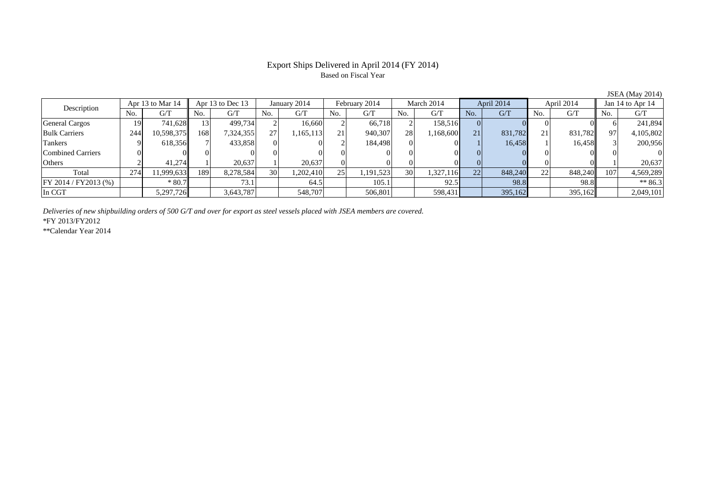#### Export Ships Delivered in April 2014 (FY 2014) Based on Fiscal Year

No. G/T No. G/T No. G/T No. G/T No. G/T No. G/T No. G/T No. G/T $G/T$ General Cargos 1 19 741,628 13 499,734 2 16,660 2 66,718 2 158,516 0 0 0 0 0 6 241,894 Bulk Carriers 244 10,598,375 168 7,324,355 27 1,165,113 21 940,307 28 1,168,600 21 831,782 21 831,782 97 4,105,802 Tankers 9 618,356 7 433,858 0 0 2 184,498 0 0 1 16,458 1 16,458 3 200,956 Combined Carriers 0 0 0 0 0 0 0 0 0 0 0 0 0 0 0 0Others 2 41,274 1 20,637 1 20,637 0 0 0 0 0 0 0 0 1 20,637 Total 274 11,999,633 189 8,278,584 30 1,202,410 25 1,191,523 30 1,327,116 22 848,240 22 848,240 107 4,569,289 FY 2014 / FY2013 (%) \* 80.7 \* 80.7 73.1 64.5 105.1 105.1 92.5 98.8 98.8 98.8 \*\* 86.3 In CGT | | 5,297,726|| | 3,643,787| | 548,707| | 506,801| | 598,431| | 395,162| | 395,162|| | 2,049,101 Description Apr 13 to Mar 14 Apr 13 to Dec 13 January 2014 February 2014<br>No. 6/T No. 6/T No. 6/T No. 6/T No. 6/T March 2014 April 2014 April 2014 Jan 14 to Apr 14

*Deliveries of new shipbuilding orders of 500 G/T and over for export as steel vessels placed with JSEA members are covered.*

\*FY 2013/FY2012

\*\*Calendar Year 2014

JSEA (May 2014)